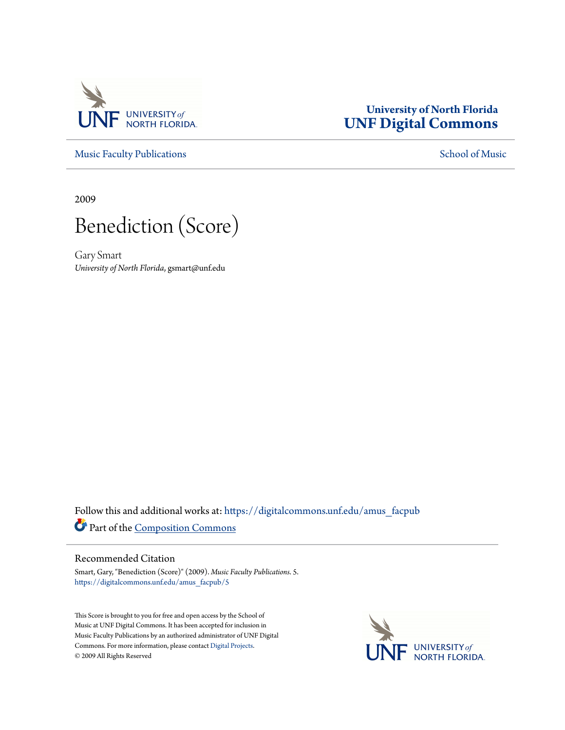

## **University of North Florida [UNF Digital Commons](https://digitalcommons.unf.edu?utm_source=digitalcommons.unf.edu%2Famus_facpub%2F5&utm_medium=PDF&utm_campaign=PDFCoverPages)**

[Music Faculty Publications](https://digitalcommons.unf.edu/amus_facpub?utm_source=digitalcommons.unf.edu%2Famus_facpub%2F5&utm_medium=PDF&utm_campaign=PDFCoverPages) [School of Music](https://digitalcommons.unf.edu/amus?utm_source=digitalcommons.unf.edu%2Famus_facpub%2F5&utm_medium=PDF&utm_campaign=PDFCoverPages)

2009



Gary Smart *University of North Florida*, gsmart@unf.edu

Follow this and additional works at: [https://digitalcommons.unf.edu/amus\\_facpub](https://digitalcommons.unf.edu/amus_facpub?utm_source=digitalcommons.unf.edu%2Famus_facpub%2F5&utm_medium=PDF&utm_campaign=PDFCoverPages) Part of the [Composition Commons](http://network.bepress.com/hgg/discipline/519?utm_source=digitalcommons.unf.edu%2Famus_facpub%2F5&utm_medium=PDF&utm_campaign=PDFCoverPages)

## Recommended Citation

Smart, Gary, "Benediction (Score)" (2009). *Music Faculty Publications*. 5. [https://digitalcommons.unf.edu/amus\\_facpub/5](https://digitalcommons.unf.edu/amus_facpub/5?utm_source=digitalcommons.unf.edu%2Famus_facpub%2F5&utm_medium=PDF&utm_campaign=PDFCoverPages)

This Score is brought to you for free and open access by the School of Music at UNF Digital Commons. It has been accepted for inclusion in Music Faculty Publications by an authorized administrator of UNF Digital Commons. For more information, please contact [Digital Projects](mailto:lib-digital@unf.edu). © 2009 All Rights Reserved

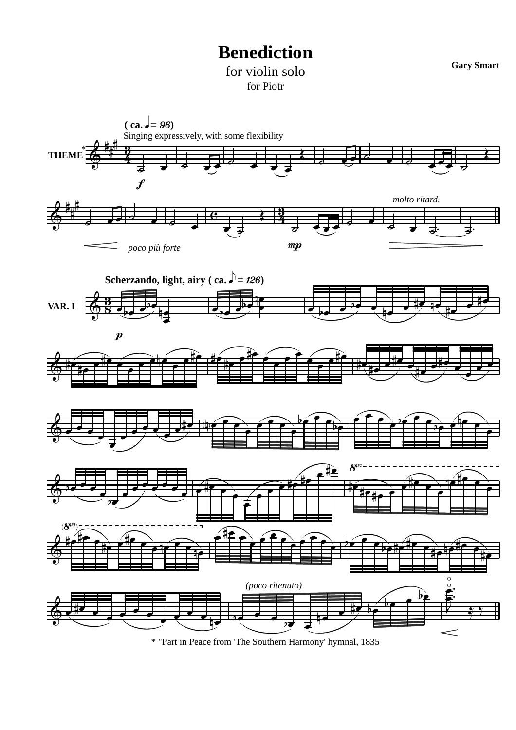## **Benediction**

**Gary Smart**

for violin solo for Piotr



\* "Part in Peace from 'The Southern Harmony' hymnal, 1835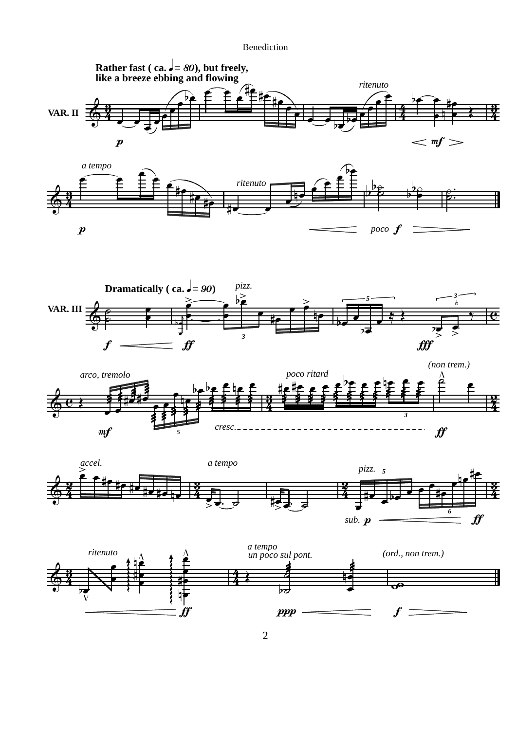Benediction